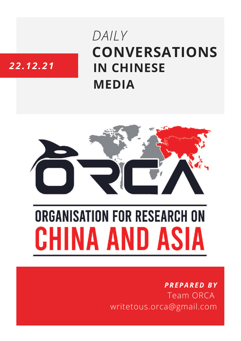# **CONVERSATIONS IN CHINESE MEDIA** *DAILY*

# *22.12.21*



# **ORGANISATION FOR RESEARCH ON** HINA AND ASIA

## *PREPARED BY* Team ORCA writetous.orca@gmail.com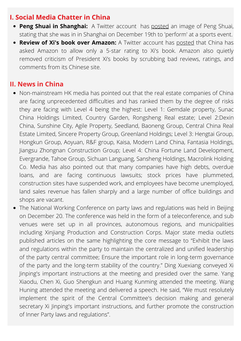### **I. Social Media Chatter in China**

- **Peng Shuai in Shanghai:** A Twitter account has [posted](https://twitter.com/Jerry00107966/status/1472739453496033281) an image of Peng Shuai, stating that she was in in Shanghai on December 19th to 'perform' at a sports event.
- **Review of Xi's book over Amazon:** A Twitter account has [posted](https://twitter.com/BonnieGlaser/status/1473319853687779331) that China has asked Amazon to allow only a 5-star rating to Xi's book. Amazon also quietly removed criticism of President Xi's books by scrubbing bad reviews, ratings, and comments from its Chinese site.

#### **II. News in China**

- Non-mainstream HK media has pointed out that the real estate companies of China are facing unprecedented difficulties and has ranked them by the degree of risks they are facing with Level 4 being the highest: Level 1: Gemdale property, Sunac China Holdings Limited, Country Garden, Rongsheng Real estate; Level 2:Dexin China, Sunshine City, Agile Property, Seedland, Baoneng Group, Central China Real Estate Limited, Sincere Property Group, Greenland Holdings; Level 3: Hengtai Group, Hongkun Group, Aoyuan, R&F group, Kaisa, Modern Land China, Fantasia Holdings, Jiangsu Zhongnan Construction Group; Level 4: China Fortune Land Development, Evergrande, Tahoe Group, Sichuan Languang, Sansheng Holdings, Macrolink Holding Co. Media has also pointed out that many companies have high debts, overdue loans, and are facing continuous lawsuits; stock prices have plummeted, construction sites have suspended work, and employees have become unemployed, land sales revenue has fallen sharply and a large number of office buildings and shops are vacant.
- The National Working Conference on party laws and regulations was held in Beijing on December 20. The conference was held in the form of a teleconference, and sub venues were set up in all provinces, autonomous regions, and municipalities including Xinjiang Production and Construction Corps. Major state media outlets published articles on the same highlighting the core message to "Exhibit the laws and regulations within the party to maintain the centralized and unified leadership of the party central committee; Ensure the important role in long-term governance of the party and the long-term stability of the country." Ding Xuexiang conveyed Xi Jinping's important instructions at the meeting and presided over the same. Yang Xiaodu, Chen Xi, Guo Shengkun and Huang Kunming attended the meeting. Wang Huning attended the meeting and delivered a speech. He said, "We must resolutely implement the spirit of the Central Committee's decision making and general secretary Xi Jinping's important instructions, and further promote the construction of Inner Party laws and regulations".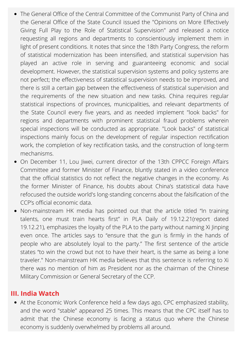- The General Office of the Central Committee of the Communist Party of China and the General Office of the State Council issued the "Opinions on More Effectively Giving Full Play to the Role of Statistical Supervision" and released a notice requesting all regions and departments to conscientiously implement them in light of present conditions. It notes that since the 18th Party Congress, the reform of statistical modernization has been intensified, and statistical supervision has played an active role in serving and guaranteeing economic and social development. However, the statistical supervision systems and policy systems are not perfect; the effectiveness of statistical supervision needs to be improved, and there is still a certain gap between the effectiveness of statistical supervision and the requirements of the new situation and new tasks. China requires regular statistical inspections of provinces, municipalities, and relevant departments of the State Council every five years, and as needed implement "look backs" for regions and departments with prominent statistical fraud problems wherein special inspections will be conducted as appropriate. "Look backs" of statistical inspections mainly focus on the development of regular inspection rectification work, the completion of key rectification tasks, and the construction of long-term mechanisms.
- On December 11, Lou Jiwei, current director of the 13th CPPCC Foreign Affairs Committee and former Minister of Finance, bluntly stated in a video conference that the official statistics do not reflect the negative changes in the economy. As the former Minister of Finance, his doubts about China's statistical data have refocused the outside world's long-standing concerns about the falsification of the CCP's official economic data.
- Non-mainstream HK media has pointed out that the article titled "In training talents, one must train hearts first" in PLA Daily of 19.12.21(report dated 19.12.21), emphasizes the loyalty of the PLA to the party without naming Xi Jinping even once. The articles says to "ensure that the gun is firmly in the hands of people who are absolutely loyal to the party." The first sentence of the article states "to win the crowd but not to have their heart, is the same as being a lone traveler." Non-mainstream HK media believes that this sentence is referring to Xi there was no mention of him as President nor as the chairman of the Chinese Military Commission or General Secretary of the CCP.

#### **III. India Watch**

At the Economic Work Conference held a few days ago, CPC emphasized stability, and the word "stable" appeared 25 times. This means that the CPC itself has to admit that the Chinese economy is facing a status quo where the Chinese economy is suddenly overwhelmed by problems all around.